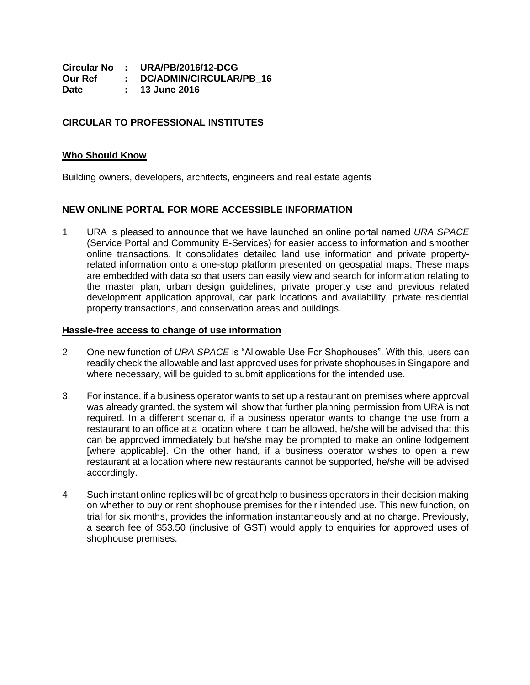|         | Circular No : URA/PB/2016/12-DCG |
|---------|----------------------------------|
| Our Ref | : DC/ADMIN/CIRCULAR/PB 16        |
| Date    | : 13 June 2016                   |

## **CIRCULAR TO PROFESSIONAL INSTITUTES**

## **Who Should Know**

Building owners, developers, architects, engineers and real estate agents

## **NEW ONLINE PORTAL FOR MORE ACCESSIBLE INFORMATION**

1. URA is pleased to announce that we have launched an online portal named *URA SPACE* (Service Portal and Community E-Services) for easier access to information and smoother online transactions. It consolidates detailed land use information and private propertyrelated information onto a one-stop platform presented on geospatial maps. These maps are embedded with data so that users can easily view and search for information relating to the master plan, urban design guidelines, private property use and previous related development application approval, car park locations and availability, private residential property transactions, and conservation areas and buildings.

## **Hassle-free access to change of use information**

- 2. One new function of *URA SPACE* is "Allowable Use For Shophouses". With this, users can readily check the allowable and last approved uses for private shophouses in Singapore and where necessary, will be guided to submit applications for the intended use.
- 3. For instance, if a business operator wants to set up a restaurant on premises where approval was already granted, the system will show that further planning permission from URA is not required. In a different scenario, if a business operator wants to change the use from a restaurant to an office at a location where it can be allowed, he/she will be advised that this can be approved immediately but he/she may be prompted to make an online lodgement [where applicable]. On the other hand, if a business operator wishes to open a new restaurant at a location where new restaurants cannot be supported, he/she will be advised accordingly.
- 4. Such instant online replies will be of great help to business operators in their decision making on whether to buy or rent shophouse premises for their intended use. This new function, on trial for six months, provides the information instantaneously and at no charge. Previously, a search fee of \$53.50 (inclusive of GST) would apply to enquiries for approved uses of shophouse premises.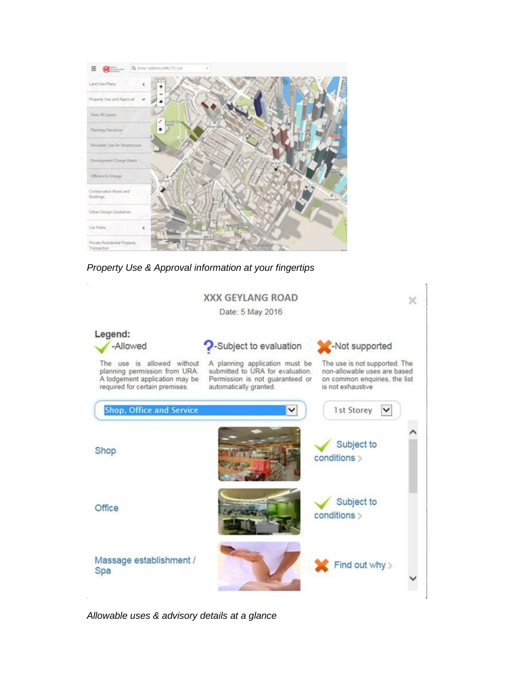

*Property Use & Approval information at your fingertips*



*Allowable uses & advisory details at a glance*